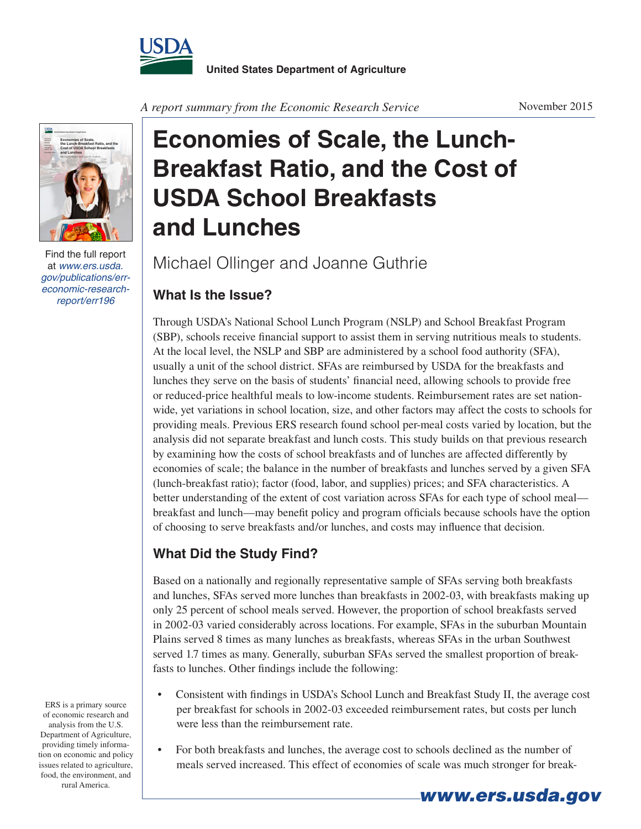



Find the full report at *www.ers.usda. gov/publications/erreconomic-research-*

*A report summary from the Economic Research Service*

## **Economies of Scale, the Lunch-Breakfast Ratio, and the Cost of USDA School Breakfasts and Lunches**

Michael Ollinger and Joanne Guthrie

## *report/err196* **What Is the Issue?**

Through USDA's National School Lunch Program (NSLP) and School Breakfast Program (SBP), schools receive financial support to assist them in serving nutritious meals to students. At the local level, the NSLP and SBP are administered by a school food authority (SFA), usually a unit of the school district. SFAs are reimbursed by USDA for the breakfasts and lunches they serve on the basis of students' financial need, allowing schools to provide free or reduced-price healthful meals to low-income students. Reimbursement rates are set nationwide, yet variations in school location, size, and other factors may affect the costs to schools for providing meals. Previous ERS research found school per-meal costs varied by location, but the analysis did not separate breakfast and lunch costs. This study builds on that previous research by examining how the costs of school breakfasts and of lunches are affected differently by economies of scale; the balance in the number of breakfasts and lunches served by a given SFA (lunch-breakfast ratio); factor (food, labor, and supplies) prices; and SFA characteristics. A better understanding of the extent of cost variation across SFAs for each type of school meal breakfast and lunch—may benefit policy and program officials because schools have the option of choosing to serve breakfasts and/or lunches, and costs may influence that decision.

## **What Did the Study Find?**

Based on a nationally and regionally representative sample of SFAs serving both breakfasts and lunches, SFAs served more lunches than breakfasts in 2002-03, with breakfasts making up only 25 percent of school meals served. However, the proportion of school breakfasts served in 2002-03 varied considerably across locations. For example, SFAs in the suburban Mountain Plains served 8 times as many lunches as breakfasts, whereas SFAs in the urban Southwest served 1.7 times as many. Generally, suburban SFAs served the smallest proportion of breakfasts to lunches. Other findings include the following:

- Consistent with findings in USDA's School Lunch and Breakfast Study II, the average cost per breakfast for schools in 2002-03 exceeded reimbursement rates, but costs per lunch were less than the reimbursement rate.
- For both breakfasts and lunches, the average cost to schools declined as the number of meals served increased. This effect of economies of scale was much stronger for break-

ERS is a primary source of economic research and analysis from the U.S. Department of Agriculture, providing timely information on economic and policy issues related to agriculture, food, the environment, and rural America.